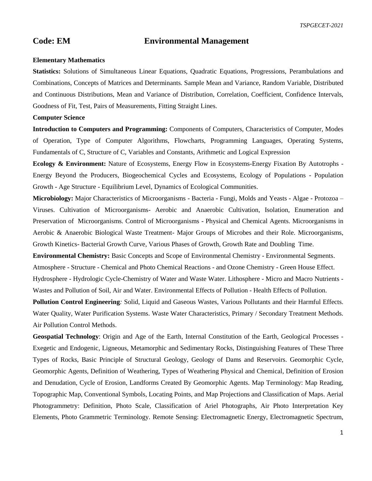*TSPGECET-2021*

## **Code: EM Environmental Management**

## **Elementary Mathematics**

**Statistics:** Solutions of Simultaneous Linear Equations, Quadratic Equations, Progressions, Perambulations and Combinations, Concepts of Matrices and Determinants. Sample Mean and Variance, Random Variable, Distributed and Continuous Distributions, Mean and Variance of Distribution, Correlation, Coefficient, Confidence Intervals, Goodness of Fit, Test, Pairs of Measurements, Fitting Straight Lines.

## **Computer Science**

**Introduction to Computers and Programming:** Components of Computers, Characteristics of Computer, Modes of Operation, Type of Computer Algorithms, Flowcharts, Programming Languages, Operating Systems, Fundamentals of C, Structure of C, Variables and Constants, Arithmetic and Logical Expression

**Ecology & Environment:** Nature of Ecosystems, Energy Flow in Ecosystems-Energy Fixation By Autotrophs - Energy Beyond the Producers, Biogeochemical Cycles and Ecosystems, Ecology of Populations - Population Growth - Age Structure - Equilibrium Level, Dynamics of Ecological Communities.

**Microbiology:** Major Characteristics of Microorganisms - Bacteria - Fungi, Molds and Yeasts - Algae - Protozoa – Viruses. Cultivation of Microorganisms- Aerobic and Anaerobic Cultivation, Isolation, Enumeration and Preservation of Microorganisms. Control of Microorganisms - Physical and Chemical Agents. Microorganisms in Aerobic & Anaerobic Biological Waste Treatment- Major Groups of Microbes and their Role. Microorganisms, Growth Kinetics- Bacterial Growth Curve, Various Phases of Growth, Growth Rate and Doubling Time.

**Environmental Chemistry:** Basic Concepts and Scope of Environmental Chemistry - Environmental Segments. Atmosphere - Structure - Chemical and Photo Chemical Reactions - and Ozone Chemistry - Green House Effect. Hydrosphere - Hydrologic Cycle-Chemistry of Water and Waste Water. Lithosphere - Micro and Macro Nutrients - Wastes and Pollution of Soil, Air and Water. Environmental Effects of Pollution - Health Effects of Pollution.

**Pollution Control Engineering***:* Solid, Liquid and Gaseous Wastes, Various Pollutants and their Harmful Effects. Water Quality, Water Purification Systems. Waste Water Characteristics, Primary / Secondary Treatment Methods. Air Pollution Control Methods.

**Geospatial Technology**: Origin and Age of the Earth, Internal Constitution of the Earth, Geological Processes - Exegetic and Endogenic, Ligneous, Metamorphic and Sedimentary Rocks, Distinguishing Features of These Three Types of Rocks, Basic Principle of Structural Geology, Geology of Dams and Reservoirs. Geomorphic Cycle, Geomorphic Agents, Definition of Weathering, Types of Weathering Physical and Chemical, Definition of Erosion and Denudation, Cycle of Erosion, Landforms Created By Geomorphic Agents. Map Terminology: Map Reading, Topographic Map, Conventional Symbols, Locating Points, and Map Projections and Classification of Maps. Aerial Photogrammetry: Definition, Photo Scale, Classification of Ariel Photographs, Air Photo Interpretation Key Elements, Photo Grammetric Terminology. Remote Sensing: Electromagnetic Energy, Electromagnetic Spectrum,